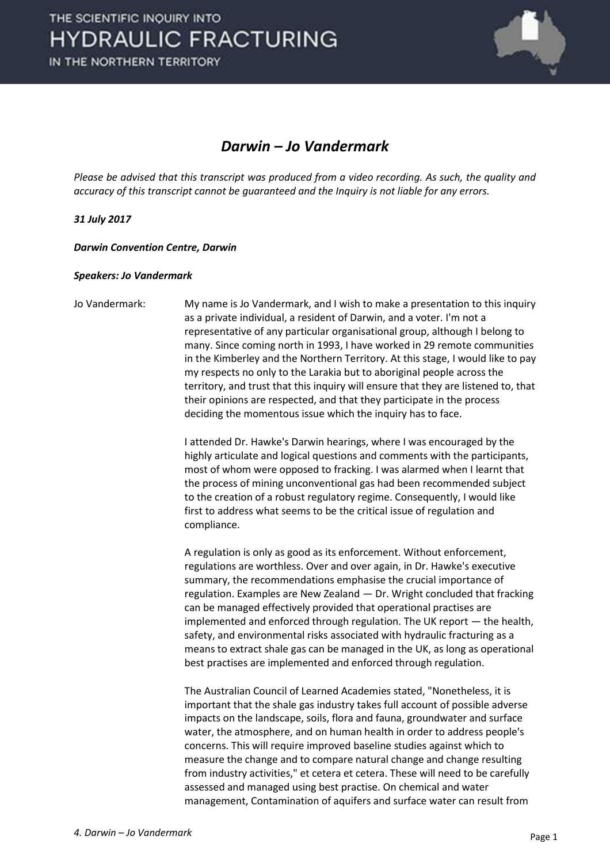IN THE NORTHERN TERRITORY



#### *Darwin – Jo Vandermark*

*Please be advised that this transcript was produced from a video recording. As such, the quality and accuracy of this transcript cannot be guaranteed and the Inquiry is not liable for any errors.*

*31 July 2017* 

*Darwin Convention Centre, Darwin* 

#### *Speakers: Jo Vandermark*

Jo Vandermark: My name is Jo Vandermark, and I wish to make a presentation to this inquiry as a private individual, a resident of Darwin, and a voter. I'm not a representative of any particular organisational group, although I belong to many. Since coming north in 1993, I have worked in 29 remote communities in the Kimberley and the Northern Territory. At this stage, I would like to pay my respects no only to the Larakia but to aboriginal people across the territory, and trust that this inquiry will ensure that they are listened to, that their opinions are respected, and that they participate in the process deciding the momentous issue which the inquiry has to face.

> I attended Dr. Hawke's Darwin hearings, where I was encouraged by the highly articulate and logical questions and comments with the participants, most of whom were opposed to fracking. I was alarmed when I learnt that the process of mining unconventional gas had been recommended subject to the creation of a robust regulatory regime. Consequently, I would like first to address what seems to be the critical issue of regulation and compliance.

 A regulation is only as good as its enforcement. Without enforcement, regulations are worthless. Over and over again, in Dr. Hawke's executive summary, the recommendations emphasise the crucial importance of regulation. Examples are New Zealand — Dr. Wright concluded that fracking can be managed effectively provided that operational practises are implemented and enforced through regulation. The UK report — the health, safety, and environmental risks associated with hydraulic fracturing as a means to extract shale gas can be managed in the UK, as long as operational best practises are implemented and enforced through regulation.

 The Australian Council of Learned Academies stated, "Nonetheless, it is important that the shale gas industry takes full account of possible adverse impacts on the landscape, soils, flora and fauna, groundwater and surface water, the atmosphere, and on human health in order to address people's concerns. This will require improved baseline studies against which to measure the change and to compare natural change and change resulting from industry activities," et cetera et cetera. These will need to be carefully assessed and managed using best practise. On chemical and water management, Contamination of aquifers and surface water can result from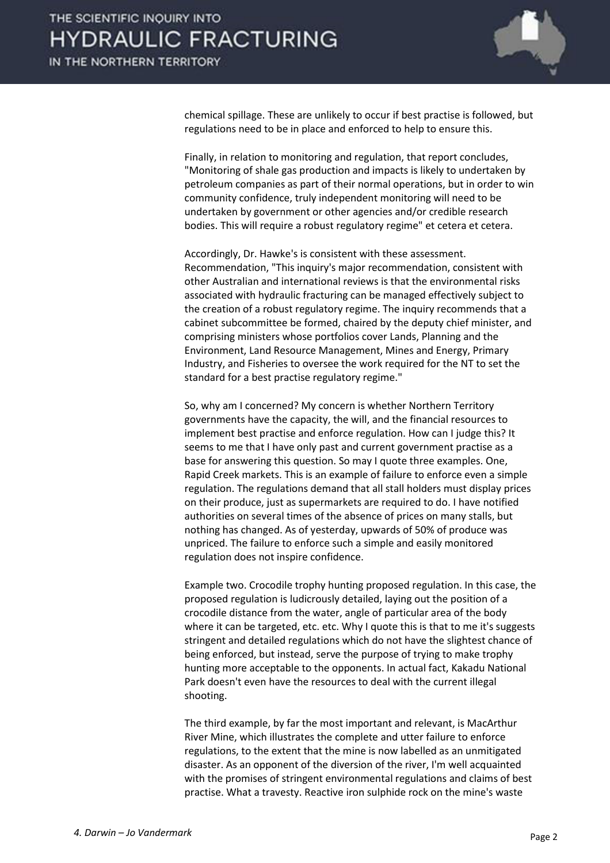

chemical spillage. These are unlikely to occur if best practise is followed, but regulations need to be in place and enforced to help to ensure this.

 Finally, in relation to monitoring and regulation, that report concludes, "Monitoring of shale gas production and impacts is likely to undertaken by petroleum companies as part of their normal operations, but in order to win community confidence, truly independent monitoring will need to be undertaken by government or other agencies and/or credible research bodies. This will require a robust regulatory regime" et cetera et cetera.

 Accordingly, Dr. Hawke's is consistent with these assessment. Recommendation, "This inquiry's major recommendation, consistent with other Australian and international reviews is that the environmental risks associated with hydraulic fracturing can be managed effectively subject to the creation of a robust regulatory regime. The inquiry recommends that a cabinet subcommittee be formed, chaired by the deputy chief minister, and comprising ministers whose portfolios cover Lands, Planning and the Environment, Land Resource Management, Mines and Energy, Primary Industry, and Fisheries to oversee the work required for the NT to set the standard for a best practise regulatory regime."

 So, why am I concerned? My concern is whether Northern Territory governments have the capacity, the will, and the financial resources to implement best practise and enforce regulation. How can I judge this? It seems to me that I have only past and current government practise as a base for answering this question. So may I quote three examples. One, Rapid Creek markets. This is an example of failure to enforce even a simple regulation. The regulations demand that all stall holders must display prices on their produce, just as supermarkets are required to do. I have notified authorities on several times of the absence of prices on many stalls, but nothing has changed. As of yesterday, upwards of 50% of produce was unpriced. The failure to enforce such a simple and easily monitored regulation does not inspire confidence.

 Example two. Crocodile trophy hunting proposed regulation. In this case, the proposed regulation is ludicrously detailed, laying out the position of a crocodile distance from the water, angle of particular area of the body where it can be targeted, etc. etc. Why I quote this is that to me it's suggests stringent and detailed regulations which do not have the slightest chance of being enforced, but instead, serve the purpose of trying to make trophy hunting more acceptable to the opponents. In actual fact, Kakadu National Park doesn't even have the resources to deal with the current illegal shooting.

 The third example, by far the most important and relevant, is MacArthur River Mine, which illustrates the complete and utter failure to enforce regulations, to the extent that the mine is now labelled as an unmitigated disaster. As an opponent of the diversion of the river, I'm well acquainted with the promises of stringent environmental regulations and claims of best practise. What a travesty. Reactive iron sulphide rock on the mine's waste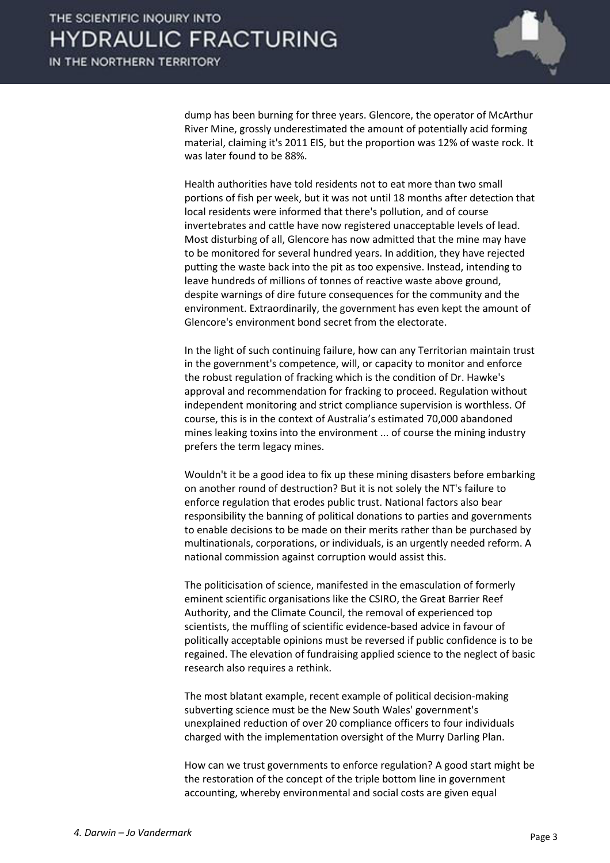IN THE NORTHERN TERRITORY



dump has been burning for three years. Glencore, the operator of McArthur River Mine, grossly underestimated the amount of potentially acid forming material, claiming it's 2011 EIS, but the proportion was 12% of waste rock. It was later found to be 88%.

 Health authorities have told residents not to eat more than two small portions of fish per week, but it was not until 18 months after detection that local residents were informed that there's pollution, and of course invertebrates and cattle have now registered unacceptable levels of lead. Most disturbing of all, Glencore has now admitted that the mine may have to be monitored for several hundred years. In addition, they have rejected putting the waste back into the pit as too expensive. Instead, intending to leave hundreds of millions of tonnes of reactive waste above ground, despite warnings of dire future consequences for the community and the environment. Extraordinarily, the government has even kept the amount of Glencore's environment bond secret from the electorate.

 In the light of such continuing failure, how can any Territorian maintain trust in the government's competence, will, or capacity to monitor and enforce the robust regulation of fracking which is the condition of Dr. Hawke's approval and recommendation for fracking to proceed. Regulation without independent monitoring and strict compliance supervision is worthless. Of course, this is in the context of Australia's estimated 70,000 abandoned mines leaking toxins into the environment ... of course the mining industry prefers the term legacy mines.

 Wouldn't it be a good idea to fix up these mining disasters before embarking on another round of destruction? But it is not solely the NT's failure to enforce regulation that erodes public trust. National factors also bear responsibility the banning of political donations to parties and governments to enable decisions to be made on their merits rather than be purchased by multinationals, corporations, or individuals, is an urgently needed reform. A national commission against corruption would assist this.

 The politicisation of science, manifested in the emasculation of formerly eminent scientific organisations like the CSIRO, the Great Barrier Reef Authority, and the Climate Council, the removal of experienced top scientists, the muffling of scientific evidence-based advice in favour of politically acceptable opinions must be reversed if public confidence is to be regained. The elevation of fundraising applied science to the neglect of basic research also requires a rethink.

 The most blatant example, recent example of political decision-making subverting science must be the New South Wales' government's unexplained reduction of over 20 compliance officers to four individuals charged with the implementation oversight of the Murry Darling Plan.

 How can we trust governments to enforce regulation? A good start might be the restoration of the concept of the triple bottom line in government accounting, whereby environmental and social costs are given equal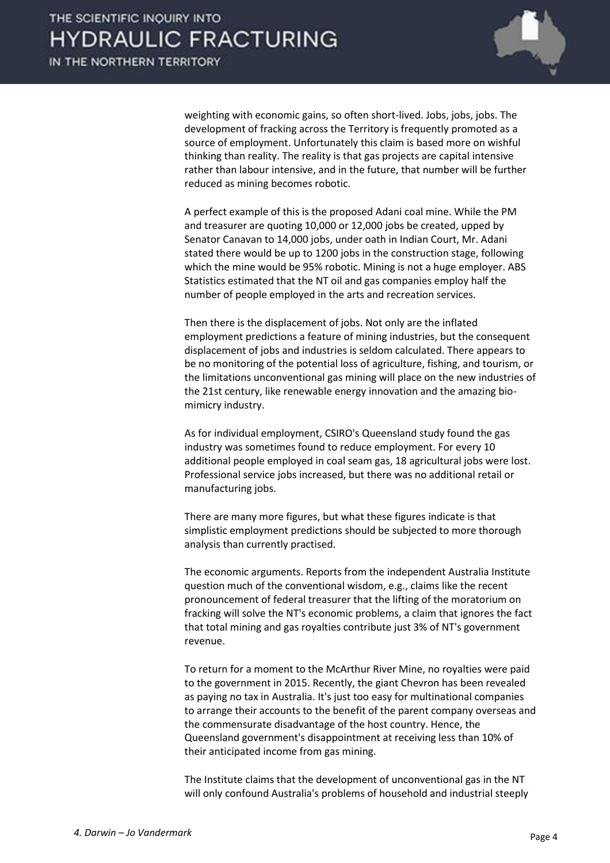

weighting with economic gains, so often short-lived. Jobs, jobs, jobs. The development of fracking across the Territory is frequently promoted as a source of employment. Unfortunately this claim is based more on wishful thinking than reality. The reality is that gas projects are capital intensive rather than labour intensive, and in the future, that number will be further reduced as mining becomes robotic.

 A perfect example of this is the proposed Adani coal mine. While the PM and treasurer are quoting 10,000 or 12,000 jobs be created, upped by Senator Canavan to 14,000 jobs, under oath in Indian Court, Mr. Adani stated there would be up to 1200 jobs in the construction stage, following which the mine would be 95% robotic. Mining is not a huge employer. ABS Statistics estimated that the NT oil and gas companies employ half the number of people employed in the arts and recreation services.

 Then there is the displacement of jobs. Not only are the inflated employment predictions a feature of mining industries, but the consequent displacement of jobs and industries is seldom calculated. There appears to be no monitoring of the potential loss of agriculture, fishing, and tourism, or the limitations unconventional gas mining will place on the new industries of the 21st century, like renewable energy innovation and the amazing biomimicry industry.

 As for individual employment, CSIRO's Queensland study found the gas industry was sometimes found to reduce employment. For every 10 additional people employed in coal seam gas, 18 agricultural jobs were lost. Professional service jobs increased, but there was no additional retail or manufacturing jobs.

 There are many more figures, but what these figures indicate is that simplistic employment predictions should be subjected to more thorough analysis than currently practised.

 The economic arguments. Reports from the independent Australia Institute question much of the conventional wisdom, e.g., claims like the recent pronouncement of federal treasurer that the lifting of the moratorium on fracking will solve the NT's economic problems, a claim that ignores the fact that total mining and gas royalties contribute just 3% of NT's government revenue.

 To return for a moment to the McArthur River Mine, no royalties were paid to the government in 2015. Recently, the giant Chevron has been revealed as paying no tax in Australia. It's just too easy for multinational companies to arrange their accounts to the benefit of the parent company overseas and the commensurate disadvantage of the host country. Hence, the Queensland government's disappointment at receiving less than 10% of their anticipated income from gas mining.

 The Institute claims that the development of unconventional gas in the NT will only confound Australia's problems of household and industrial steeply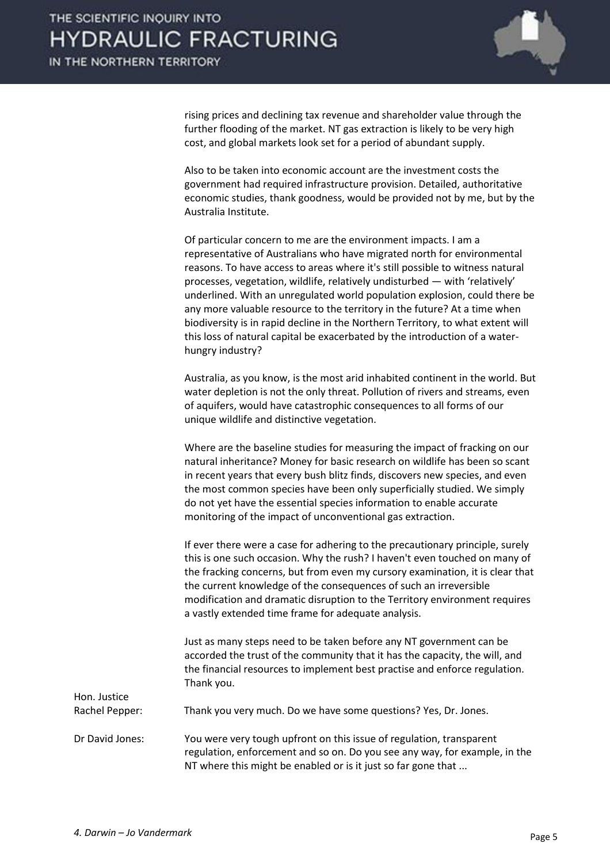

rising prices and declining tax revenue and shareholder value through the further flooding of the market. NT gas extraction is likely to be very high cost, and global markets look set for a period of abundant supply.

 Also to be taken into economic account are the investment costs the government had required infrastructure provision. Detailed, authoritative economic studies, thank goodness, would be provided not by me, but by the Australia Institute.

 Of particular concern to me are the environment impacts. I am a representative of Australians who have migrated north for environmental reasons. To have access to areas where it's still possible to witness natural processes, vegetation, wildlife, relatively undisturbed  $-$  with 'relatively' underlined. With an unregulated world population explosion, could there be any more valuable resource to the territory in the future? At a time when biodiversity is in rapid decline in the Northern Territory, to what extent will this loss of natural capital be exacerbated by the introduction of a waterhungry industry?

 Australia, as you know, is the most arid inhabited continent in the world. But water depletion is not the only threat. Pollution of rivers and streams, even of aquifers, would have catastrophic consequences to all forms of our unique wildlife and distinctive vegetation.

 Where are the baseline studies for measuring the impact of fracking on our natural inheritance? Money for basic research on wildlife has been so scant in recent years that every bush blitz finds, discovers new species, and even the most common species have been only superficially studied. We simply do not yet have the essential species information to enable accurate monitoring of the impact of unconventional gas extraction.

 If ever there were a case for adhering to the precautionary principle, surely this is one such occasion. Why the rush? I haven't even touched on many of the fracking concerns, but from even my cursory examination, it is clear that the current knowledge of the consequences of such an irreversible modification and dramatic disruption to the Territory environment requires a vastly extended time frame for adequate analysis.

 Just as many steps need to be taken before any NT government can be accorded the trust of the community that it has the capacity, the will, and the financial resources to implement best practise and enforce regulation. Thank you.

Rachel Pepper: Thank you very much. Do we have some questions? Yes, Dr. Jones.

Dr David Jones: You were very tough upfront on this issue of regulation, transparent regulation, enforcement and so on. Do you see any way, for example, in the NT where this might be enabled or is it just so far gone that ...

Hon. Justice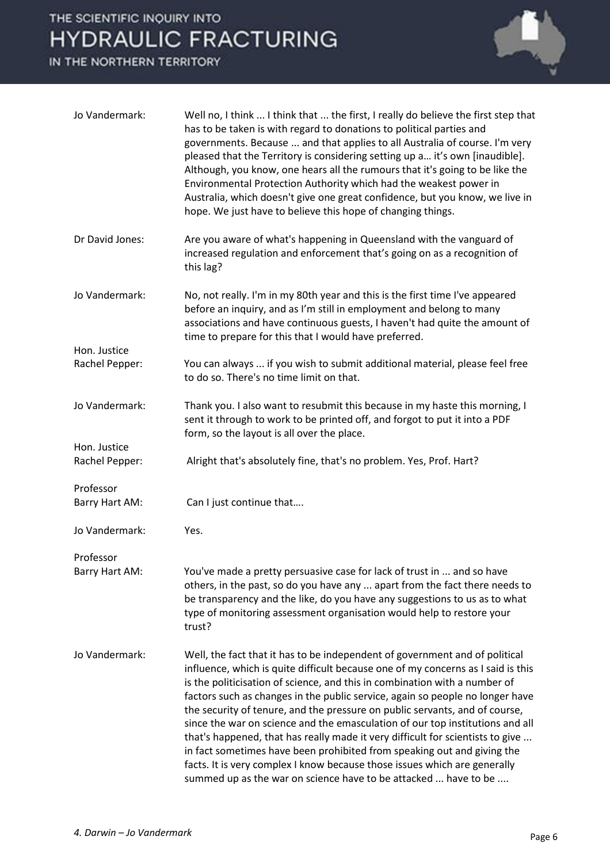IN THE NORTHERN TERRITORY



| Jo Vandermark:                 | Well no, I think  I think that  the first, I really do believe the first step that<br>has to be taken is with regard to donations to political parties and<br>governments. Because  and that applies to all Australia of course. I'm very<br>pleased that the Territory is considering setting up a it's own [inaudible].<br>Although, you know, one hears all the rumours that it's going to be like the<br>Environmental Protection Authority which had the weakest power in<br>Australia, which doesn't give one great confidence, but you know, we live in<br>hope. We just have to believe this hope of changing things.                                                                                                                                                                               |
|--------------------------------|-------------------------------------------------------------------------------------------------------------------------------------------------------------------------------------------------------------------------------------------------------------------------------------------------------------------------------------------------------------------------------------------------------------------------------------------------------------------------------------------------------------------------------------------------------------------------------------------------------------------------------------------------------------------------------------------------------------------------------------------------------------------------------------------------------------|
| Dr David Jones:                | Are you aware of what's happening in Queensland with the vanguard of<br>increased regulation and enforcement that's going on as a recognition of<br>this lag?                                                                                                                                                                                                                                                                                                                                                                                                                                                                                                                                                                                                                                               |
| Jo Vandermark:                 | No, not really. I'm in my 80th year and this is the first time I've appeared<br>before an inquiry, and as I'm still in employment and belong to many<br>associations and have continuous guests, I haven't had quite the amount of<br>time to prepare for this that I would have preferred.                                                                                                                                                                                                                                                                                                                                                                                                                                                                                                                 |
| Hon. Justice<br>Rachel Pepper: | You can always  if you wish to submit additional material, please feel free<br>to do so. There's no time limit on that.                                                                                                                                                                                                                                                                                                                                                                                                                                                                                                                                                                                                                                                                                     |
|                                |                                                                                                                                                                                                                                                                                                                                                                                                                                                                                                                                                                                                                                                                                                                                                                                                             |
| Jo Vandermark:                 | Thank you. I also want to resubmit this because in my haste this morning, I<br>sent it through to work to be printed off, and forgot to put it into a PDF<br>form, so the layout is all over the place.                                                                                                                                                                                                                                                                                                                                                                                                                                                                                                                                                                                                     |
| Hon. Justice<br>Rachel Pepper: | Alright that's absolutely fine, that's no problem. Yes, Prof. Hart?                                                                                                                                                                                                                                                                                                                                                                                                                                                                                                                                                                                                                                                                                                                                         |
| Professor<br>Barry Hart AM:    | Can I just continue that                                                                                                                                                                                                                                                                                                                                                                                                                                                                                                                                                                                                                                                                                                                                                                                    |
| Jo Vandermark:                 | Yes.                                                                                                                                                                                                                                                                                                                                                                                                                                                                                                                                                                                                                                                                                                                                                                                                        |
| Professor                      |                                                                                                                                                                                                                                                                                                                                                                                                                                                                                                                                                                                                                                                                                                                                                                                                             |
| Barry Hart AM:                 | You've made a pretty persuasive case for lack of trust in  and so have<br>others, in the past, so do you have any  apart from the fact there needs to<br>be transparency and the like, do you have any suggestions to us as to what<br>type of monitoring assessment organisation would help to restore your<br>trust?                                                                                                                                                                                                                                                                                                                                                                                                                                                                                      |
| Jo Vandermark:                 | Well, the fact that it has to be independent of government and of political<br>influence, which is quite difficult because one of my concerns as I said is this<br>is the politicisation of science, and this in combination with a number of<br>factors such as changes in the public service, again so people no longer have<br>the security of tenure, and the pressure on public servants, and of course,<br>since the war on science and the emasculation of our top institutions and all<br>that's happened, that has really made it very difficult for scientists to give<br>in fact sometimes have been prohibited from speaking out and giving the<br>facts. It is very complex I know because those issues which are generally<br>summed up as the war on science have to be attacked  have to be |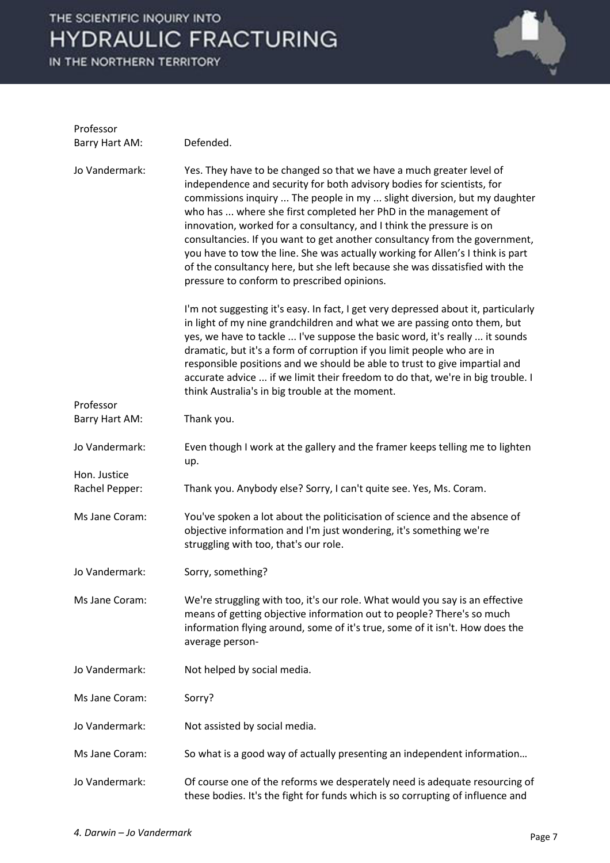IN THE NORTHERN TERRITORY



| Professor                      |                                                                                                                                                                                                                                                                                                                                                                                                                                                                                                                                                                                                                                                                     |
|--------------------------------|---------------------------------------------------------------------------------------------------------------------------------------------------------------------------------------------------------------------------------------------------------------------------------------------------------------------------------------------------------------------------------------------------------------------------------------------------------------------------------------------------------------------------------------------------------------------------------------------------------------------------------------------------------------------|
| Barry Hart AM:                 | Defended.                                                                                                                                                                                                                                                                                                                                                                                                                                                                                                                                                                                                                                                           |
| Jo Vandermark:                 | Yes. They have to be changed so that we have a much greater level of<br>independence and security for both advisory bodies for scientists, for<br>commissions inquiry  The people in my  slight diversion, but my daughter<br>who has  where she first completed her PhD in the management of<br>innovation, worked for a consultancy, and I think the pressure is on<br>consultancies. If you want to get another consultancy from the government,<br>you have to tow the line. She was actually working for Allen's I think is part<br>of the consultancy here, but she left because she was dissatisfied with the<br>pressure to conform to prescribed opinions. |
| Professor                      | I'm not suggesting it's easy. In fact, I get very depressed about it, particularly<br>in light of my nine grandchildren and what we are passing onto them, but<br>yes, we have to tackle  I've suppose the basic word, it's really  it sounds<br>dramatic, but it's a form of corruption if you limit people who are in<br>responsible positions and we should be able to trust to give impartial and<br>accurate advice  if we limit their freedom to do that, we're in big trouble. I<br>think Australia's in big trouble at the moment.                                                                                                                          |
| Barry Hart AM:                 | Thank you.                                                                                                                                                                                                                                                                                                                                                                                                                                                                                                                                                                                                                                                          |
| Jo Vandermark:<br>Hon. Justice | Even though I work at the gallery and the framer keeps telling me to lighten<br>up.                                                                                                                                                                                                                                                                                                                                                                                                                                                                                                                                                                                 |
| Rachel Pepper:                 | Thank you. Anybody else? Sorry, I can't quite see. Yes, Ms. Coram.                                                                                                                                                                                                                                                                                                                                                                                                                                                                                                                                                                                                  |
| Ms Jane Coram:                 | You've spoken a lot about the politicisation of science and the absence of<br>objective information and I'm just wondering, it's something we're<br>struggling with too, that's our role.                                                                                                                                                                                                                                                                                                                                                                                                                                                                           |
| Jo Vandermark:                 | Sorry, something?                                                                                                                                                                                                                                                                                                                                                                                                                                                                                                                                                                                                                                                   |
| Ms Jane Coram:                 | We're struggling with too, it's our role. What would you say is an effective<br>means of getting objective information out to people? There's so much<br>information flying around, some of it's true, some of it isn't. How does the<br>average person-                                                                                                                                                                                                                                                                                                                                                                                                            |
| Jo Vandermark:                 | Not helped by social media.                                                                                                                                                                                                                                                                                                                                                                                                                                                                                                                                                                                                                                         |
| Ms Jane Coram:                 | Sorry?                                                                                                                                                                                                                                                                                                                                                                                                                                                                                                                                                                                                                                                              |
| Jo Vandermark:                 | Not assisted by social media.                                                                                                                                                                                                                                                                                                                                                                                                                                                                                                                                                                                                                                       |
| Ms Jane Coram:                 | So what is a good way of actually presenting an independent information                                                                                                                                                                                                                                                                                                                                                                                                                                                                                                                                                                                             |
| Jo Vandermark:                 | Of course one of the reforms we desperately need is adequate resourcing of<br>these bodies. It's the fight for funds which is so corrupting of influence and                                                                                                                                                                                                                                                                                                                                                                                                                                                                                                        |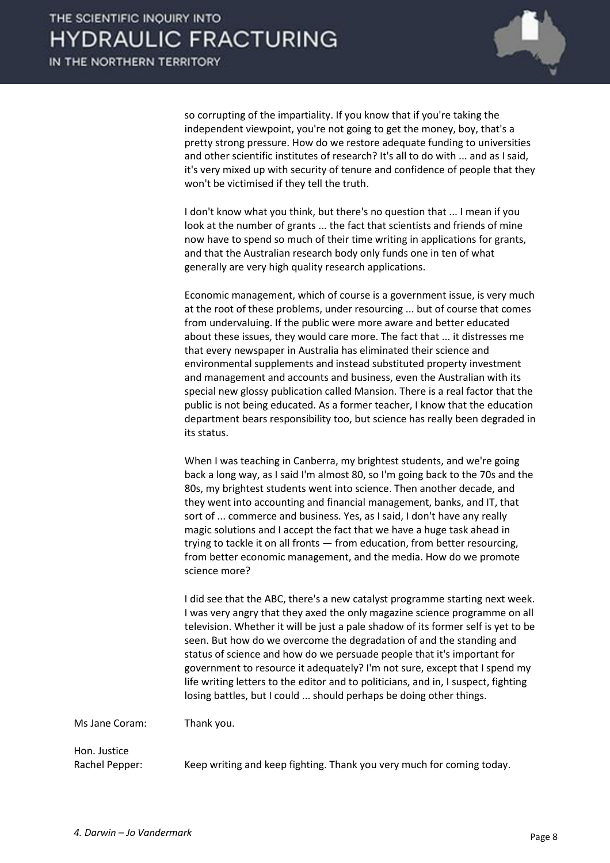

so corrupting of the impartiality. If you know that if you're taking the independent viewpoint, you're not going to get the money, boy, that's a pretty strong pressure. How do we restore adequate funding to universities and other scientific institutes of research? It's all to do with ... and as I said, it's very mixed up with security of tenure and confidence of people that they won't be victimised if they tell the truth.

 I don't know what you think, but there's no question that ... I mean if you look at the number of grants ... the fact that scientists and friends of mine now have to spend so much of their time writing in applications for grants, and that the Australian research body only funds one in ten of what generally are very high quality research applications.

 Economic management, which of course is a government issue, is very much at the root of these problems, under resourcing ... but of course that comes from undervaluing. If the public were more aware and better educated about these issues, they would care more. The fact that ... it distresses me that every newspaper in Australia has eliminated their science and environmental supplements and instead substituted property investment and management and accounts and business, even the Australian with its special new glossy publication called Mansion. There is a real factor that the public is not being educated. As a former teacher, I know that the education department bears responsibility too, but science has really been degraded in its status.

 When I was teaching in Canberra, my brightest students, and we're going back a long way, as I said I'm almost 80, so I'm going back to the 70s and the 80s, my brightest students went into science. Then another decade, and they went into accounting and financial management, banks, and IT, that sort of ... commerce and business. Yes, as I said, I don't have any really magic solutions and I accept the fact that we have a huge task ahead in trying to tackle it on all fronts — from education, from better resourcing, from better economic management, and the media. How do we promote science more?

 I did see that the ABC, there's a new catalyst programme starting next week. I was very angry that they axed the only magazine science programme on all television. Whether it will be just a pale shadow of its former self is yet to be seen. But how do we overcome the degradation of and the standing and status of science and how do we persuade people that it's important for government to resource it adequately? I'm not sure, except that I spend my life writing letters to the editor and to politicians, and in, I suspect, fighting losing battles, but I could ... should perhaps be doing other things.

Ms Jane Coram: Thank you.

Hon. Justice

Rachel Pepper: Keep writing and keep fighting. Thank you very much for coming today.